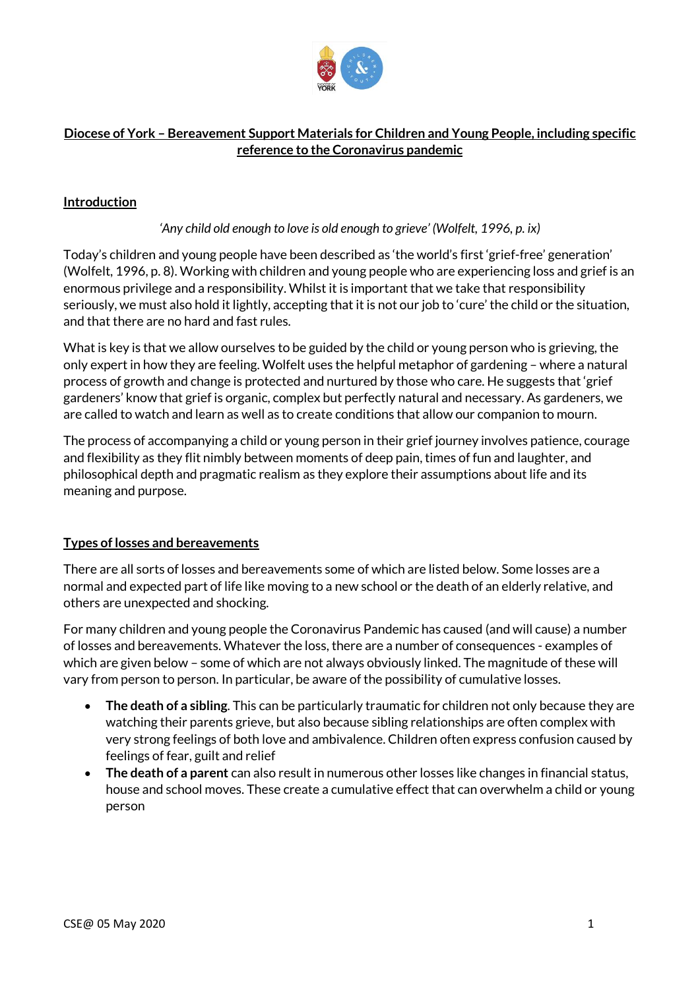

# **Diocese of York – Bereavement Support Materials for Children and Young People, including specific reference to the Coronavirus pandemic**

# **Introduction**

#### *'Any child old enough to love is old enough to grieve' (Wolfelt, 1996, p. ix)*

Today's children and young people have been described as 'the world's first 'grief-free' generation' (Wolfelt, 1996, p. 8). Working with children and young people who are experiencing loss and grief is an enormous privilege and a responsibility. Whilst it is important that we take that responsibility seriously, we must also hold it lightly, accepting that it is not our job to 'cure' the child or the situation, and that there are no hard and fast rules.

What is key is that we allow ourselves to be guided by the child or young person who is grieving, the only expert in how they are feeling. Wolfelt uses the helpful metaphor of gardening – where a natural process of growth and change is protected and nurtured by those who care. He suggests that 'grief gardeners' know that grief is organic, complex but perfectly natural and necessary. As gardeners, we are called to watch and learn as well as to create conditions that allow our companion to mourn.

The process of accompanying a child or young person in their grief journey involves patience, courage and flexibility as they flit nimbly between moments of deep pain, times of fun and laughter, and philosophical depth and pragmatic realism as they explore their assumptions about life and its meaning and purpose.

#### **Types of losses and bereavements**

There are all sorts of losses and bereavements some of which are listed below. Some losses are a normal and expected part of life like moving to a new school or the death of an elderly relative, and others are unexpected and shocking.

For many children and young people the Coronavirus Pandemic has caused (and will cause) a number of losses and bereavements. Whatever the loss, there are a number of consequences - examples of which are given below – some of which are not always obviously linked. The magnitude of these will vary from person to person. In particular, be aware of the possibility of cumulative losses.

- **The death of a sibling**. This can be particularly traumatic for children not only because they are watching their parents grieve, but also because sibling relationships are often complex with very strong feelings of both love and ambivalence. Children often express confusion caused by feelings of fear, guilt and relief
- **The death of a parent** can also result in numerous other losses like changes in financial status, house and school moves. These create a cumulative effect that can overwhelm a child or young person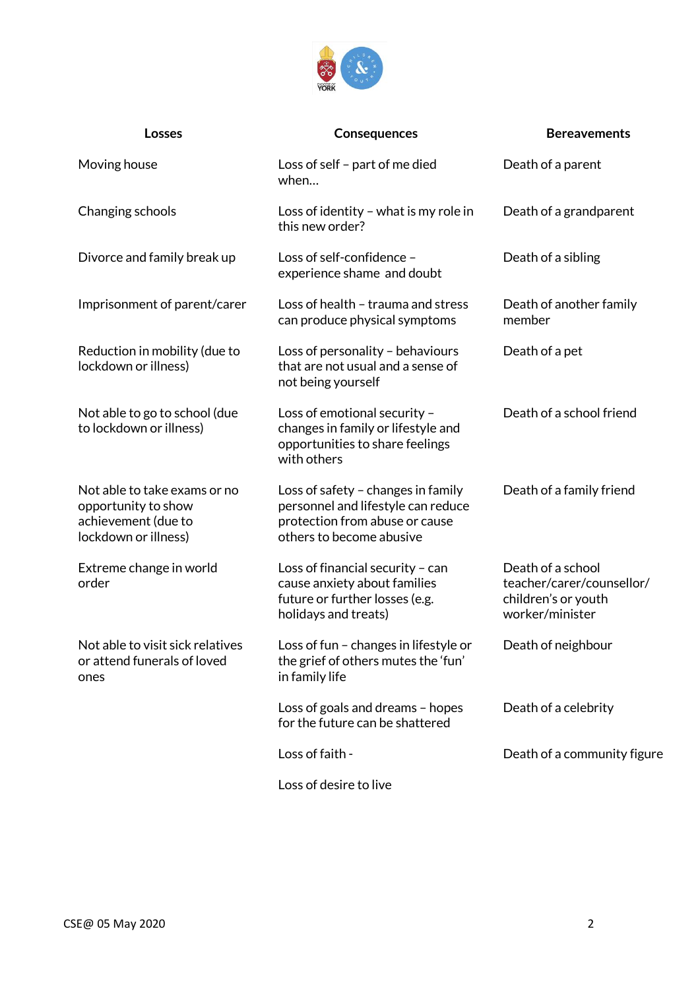

| <b>Losses</b>                                                                                      | <b>Consequences</b>                                                                                                                    | <b>Bereavements</b>                                                                      |
|----------------------------------------------------------------------------------------------------|----------------------------------------------------------------------------------------------------------------------------------------|------------------------------------------------------------------------------------------|
| Moving house                                                                                       | Loss of self - part of me died<br>when                                                                                                 | Death of a parent                                                                        |
| Changing schools                                                                                   | Loss of identity - what is my role in<br>this new order?                                                                               | Death of a grandparent                                                                   |
| Divorce and family break up                                                                        | Loss of self-confidence -<br>Death of a sibling<br>experience shame and doubt                                                          |                                                                                          |
| Imprisonment of parent/carer                                                                       | Loss of health - trauma and stress<br>can produce physical symptoms                                                                    | Death of another family<br>member                                                        |
| Reduction in mobility (due to<br>lockdown or illness)                                              | Loss of personality - behaviours<br>that are not usual and a sense of<br>not being yourself                                            | Death of a pet                                                                           |
| Not able to go to school (due<br>to lockdown or illness)                                           | Loss of emotional security -<br>changes in family or lifestyle and<br>opportunities to share feelings<br>with others                   | Death of a school friend                                                                 |
| Not able to take exams or no<br>opportunity to show<br>achievement (due to<br>lockdown or illness) | Loss of safety - changes in family<br>personnel and lifestyle can reduce<br>protection from abuse or cause<br>others to become abusive | Death of a family friend                                                                 |
| Extreme change in world<br>order                                                                   | Loss of financial security - can<br>cause anxiety about families<br>future or further losses (e.g.<br>holidays and treats)             | Death of a school<br>teacher/carer/counsellor/<br>children's or youth<br>worker/minister |
| Not able to visit sick relatives<br>or attend funerals of loved<br>ones                            | Loss of fun - changes in lifestyle or<br>the grief of others mutes the 'fun'<br>in family life                                         | Death of neighbour                                                                       |
|                                                                                                    | Loss of goals and dreams - hopes<br>for the future can be shattered                                                                    | Death of a celebrity                                                                     |
|                                                                                                    | Loss of faith -                                                                                                                        | Death of a community figure                                                              |
|                                                                                                    | Loss of desire to live                                                                                                                 |                                                                                          |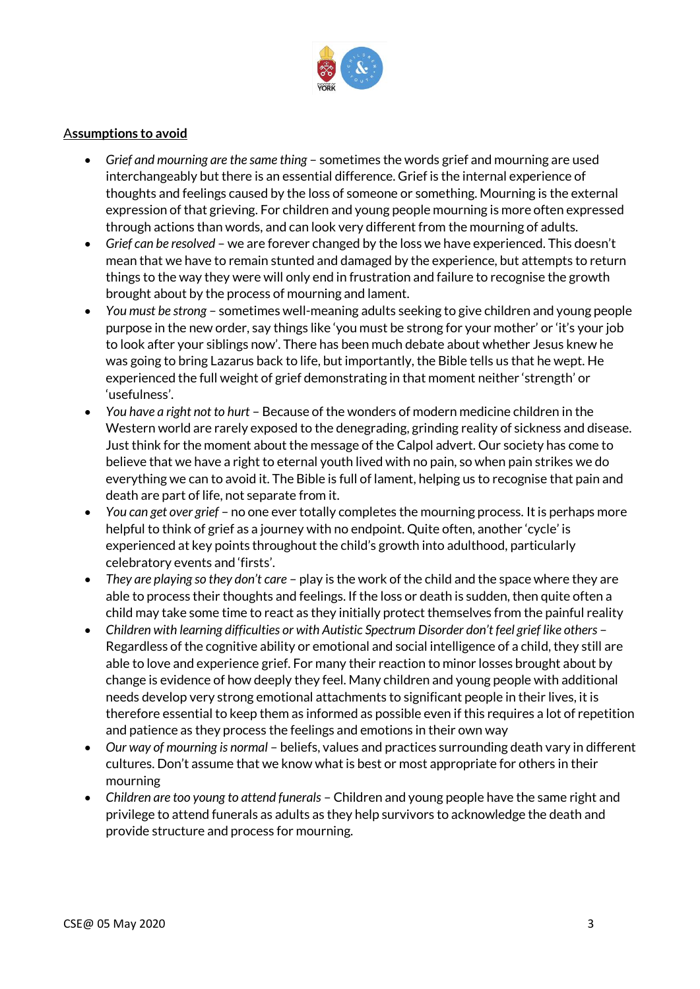

#### A**ssumptions to avoid**

- *Grief and mourning are the same thing* sometimes the words grief and mourning are used interchangeably but there is an essential difference. Grief is the internal experience of thoughts and feelings caused by the loss of someone or something. Mourning is the external expression of that grieving. For children and young people mourning is more often expressed through actions than words, and can look very different from the mourning of adults.
- *Grief can be resolved* we are forever changed by the loss we have experienced. This doesn't mean that we have to remain stunted and damaged by the experience, but attempts to return things to the way they were will only end in frustration and failure to recognise the growth brought about by the process of mourning and lament.
- *You must be strong* sometimes well-meaning adults seeking to give children and young people purpose in the new order, say things like 'you must be strong for your mother' or 'it's your job to look after your siblings now'. There has been much debate about whether Jesus knew he was going to bring Lazarus back to life, but importantly, the Bible tells us that he wept. He experienced the full weight of grief demonstrating in that moment neither 'strength' or 'usefulness'.
- *You have a right not to hurt* Because of the wonders of modern medicine children in the Western world are rarely exposed to the denegrading, grinding reality of sickness and disease. Just think for the moment about the message of the Calpol advert. Our society has come to believe that we have a right to eternal youth lived with no pain, so when pain strikes we do everything we can to avoid it. The Bible is full of lament, helping us to recognise that pain and death are part of life, not separate from it.
- *You can get over grief* no one ever totally completes the mourning process. It is perhaps more helpful to think of grief as a journey with no endpoint. Quite often, another 'cycle' is experienced at key points throughout the child's growth into adulthood, particularly celebratory events and 'firsts'.
- *They are playing so they don't care* play is the work of the child and the space where they are able to process their thoughts and feelings. If the loss or death is sudden, then quite often a child may take some time to react as they initially protect themselves from the painful reality
- *Children with learning difficulties or with Autistic Spectrum Disorder don't feel grief like others* Regardless of the cognitive ability or emotional and social intelligence of a child, they still are able to love and experience grief. For many their reaction to minor losses brought about by change is evidence of how deeply they feel. Many children and young people with additional needs develop very strong emotional attachments to significant people in their lives, it is therefore essential to keep them as informed as possible even if this requires a lot of repetition and patience as they process the feelings and emotions in their own way
- *Our way of mourning is normal* beliefs, values and practices surrounding death vary in different cultures. Don't assume that we know what is best or most appropriate for others in their mourning
- *Children are too young to attend funerals* Children and young people have the same right and privilege to attend funerals as adults as they help survivors to acknowledge the death and provide structure and process for mourning.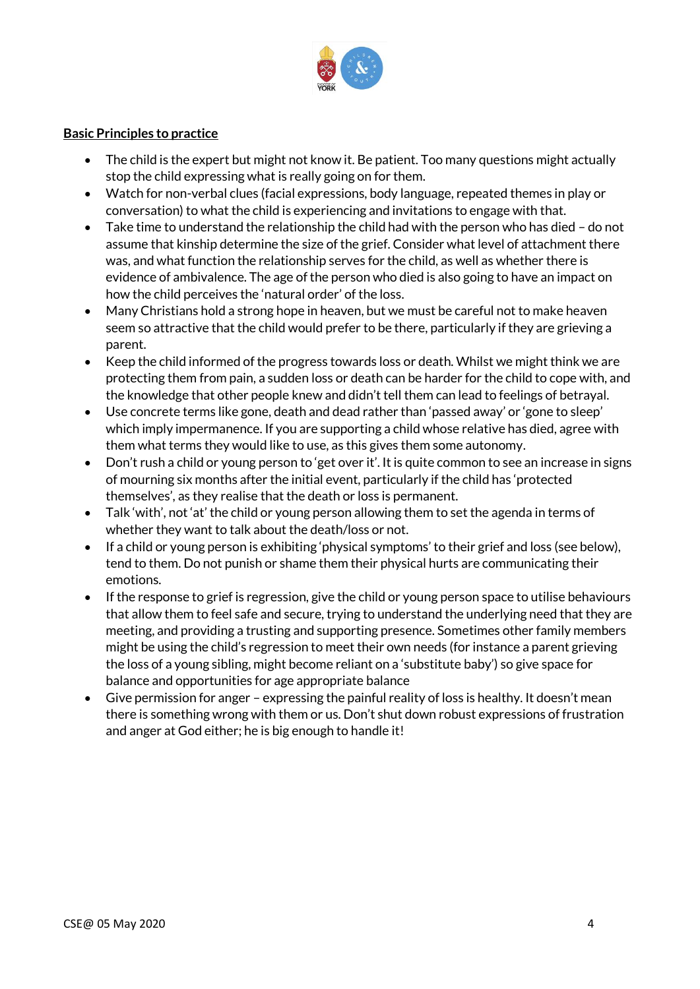

#### **Basic Principles to practice**

- The child is the expert but might not know it. Be patient. Too many questions might actually stop the child expressing what is really going on for them.
- Watch for non-verbal clues (facial expressions, body language, repeated themes in play or conversation) to what the child is experiencing and invitations to engage with that.
- Take time to understand the relationship the child had with the person who has died do not assume that kinship determine the size of the grief. Consider what level of attachment there was, and what function the relationship serves for the child, as well as whether there is evidence of ambivalence. The age of the person who died is also going to have an impact on how the child perceives the 'natural order' of the loss.
- Many Christians hold a strong hope in heaven, but we must be careful not to make heaven seem so attractive that the child would prefer to be there, particularly if they are grieving a parent.
- Keep the child informed of the progress towards loss or death. Whilst we might think we are protecting them from pain, a sudden loss or death can be harder for the child to cope with, and the knowledge that other people knew and didn't tell them can lead to feelings of betrayal.
- Use concrete terms like gone, death and dead rather than 'passed away' or 'gone to sleep' which imply impermanence. If you are supporting a child whose relative has died, agree with them what terms they would like to use, as this gives them some autonomy.
- Don't rush a child or young person to 'get over it'. It is quite common to see an increase in signs of mourning six months after the initial event, particularly if the child has 'protected themselves', as they realise that the death or loss is permanent.
- Talk 'with', not 'at' the child or young person allowing them to set the agenda in terms of whether they want to talk about the death/loss or not.
- If a child or young person is exhibiting 'physical symptoms' to their grief and loss (see below), tend to them. Do not punish or shame them their physical hurts are communicating their emotions.
- If the response to grief is regression, give the child or young person space to utilise behaviours that allow them to feel safe and secure, trying to understand the underlying need that they are meeting, and providing a trusting and supporting presence. Sometimes other family members might be using the child's regression to meet their own needs (for instance a parent grieving the loss of a young sibling, might become reliant on a 'substitute baby') so give space for balance and opportunities for age appropriate balance
- Give permission for anger expressing the painful reality of loss is healthy. It doesn't mean there is something wrong with them or us. Don't shut down robust expressions of frustration and anger at God either; he is big enough to handle it!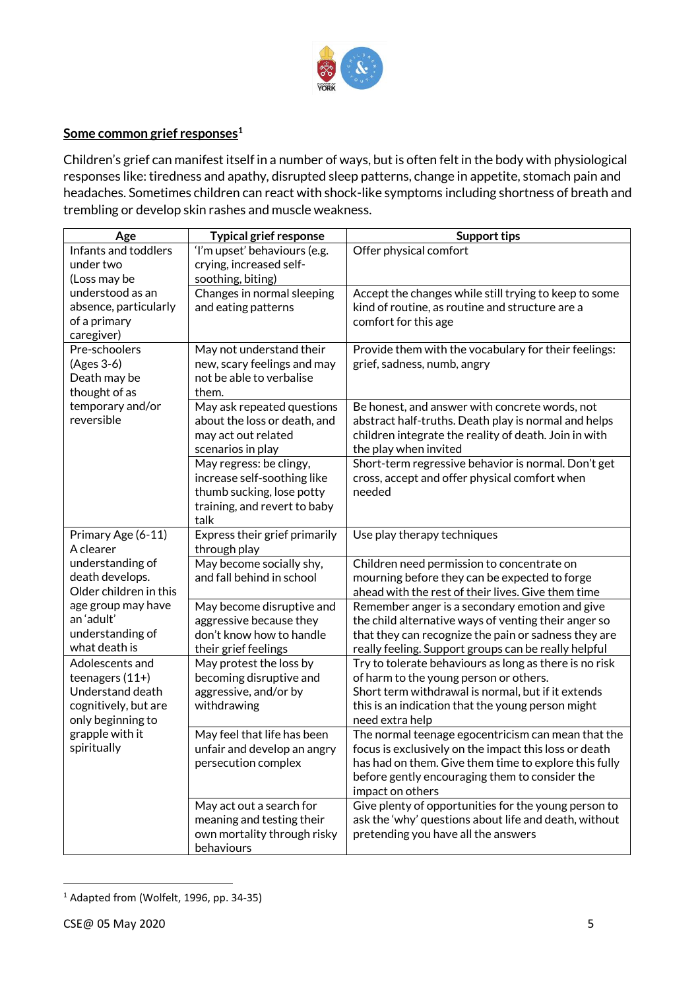

## **Some common grief responses<sup>1</sup>**

Children's grief can manifest itself in a number of ways, but is often felt in the body with physiological responses like: tiredness and apathy, disrupted sleep patterns, change in appetite, stomach pain and headaches. Sometimes children can react with shock-like symptoms including shortness of breath and trembling or develop skin rashes and muscle weakness.

| Age                             | <b>Typical grief response</b>                           | <b>Support tips</b>                                                                                          |
|---------------------------------|---------------------------------------------------------|--------------------------------------------------------------------------------------------------------------|
| Infants and toddlers            | 'I'm upset' behaviours (e.g.                            | Offer physical comfort                                                                                       |
| under two                       | crying, increased self-                                 |                                                                                                              |
| (Loss may be                    | soothing, biting)                                       |                                                                                                              |
| understood as an                | Changes in normal sleeping                              | Accept the changes while still trying to keep to some                                                        |
| absence, particularly           | and eating patterns                                     | kind of routine, as routine and structure are a                                                              |
| of a primary                    |                                                         | comfort for this age                                                                                         |
| caregiver)                      |                                                         |                                                                                                              |
| Pre-schoolers                   | May not understand their<br>new, scary feelings and may | Provide them with the vocabulary for their feelings:                                                         |
| (Ages 3-6)<br>Death may be      | not be able to verbalise                                | grief, sadness, numb, angry                                                                                  |
| thought of as                   | them.                                                   |                                                                                                              |
| temporary and/or                | May ask repeated questions                              | Be honest, and answer with concrete words, not                                                               |
| reversible                      | about the loss or death, and                            | abstract half-truths. Death play is normal and helps                                                         |
|                                 | may act out related                                     | children integrate the reality of death. Join in with                                                        |
|                                 | scenarios in play                                       | the play when invited                                                                                        |
|                                 | May regress: be clingy,                                 | Short-term regressive behavior is normal. Don't get                                                          |
|                                 | increase self-soothing like                             | cross, accept and offer physical comfort when                                                                |
|                                 | thumb sucking, lose potty                               | needed                                                                                                       |
|                                 | training, and revert to baby                            |                                                                                                              |
|                                 | talk                                                    |                                                                                                              |
| Primary Age (6-11)              | Express their grief primarily                           | Use play therapy techniques                                                                                  |
| A clearer                       | through play                                            |                                                                                                              |
| understanding of                | May become socially shy,                                | Children need permission to concentrate on                                                                   |
| death develops.                 | and fall behind in school                               | mourning before they can be expected to forge                                                                |
| Older children in this          |                                                         | ahead with the rest of their lives. Give them time                                                           |
| age group may have<br>an'adult' | May become disruptive and                               | Remember anger is a secondary emotion and give                                                               |
| understanding of                | aggressive because they<br>don't know how to handle     | the child alternative ways of venting their anger so<br>that they can recognize the pain or sadness they are |
| what death is                   | their grief feelings                                    | really feeling. Support groups can be really helpful                                                         |
| Adolescents and                 | May protest the loss by                                 | Try to tolerate behaviours as long as there is no risk                                                       |
| teenagers (11+)                 | becoming disruptive and                                 | of harm to the young person or others.                                                                       |
| Understand death                | aggressive, and/or by                                   | Short term withdrawal is normal, but if it extends                                                           |
| cognitively, but are            | withdrawing                                             | this is an indication that the young person might                                                            |
| only beginning to               |                                                         | need extra help                                                                                              |
| grapple with it                 | May feel that life has been                             | The normal teenage egocentricism can mean that the                                                           |
| spiritually                     | unfair and develop an angry                             | focus is exclusively on the impact this loss or death                                                        |
|                                 | persecution complex                                     | has had on them. Give them time to explore this fully                                                        |
|                                 |                                                         | before gently encouraging them to consider the                                                               |
|                                 |                                                         | impact on others                                                                                             |
|                                 | May act out a search for                                | Give plenty of opportunities for the young person to                                                         |
|                                 | meaning and testing their                               | ask the 'why' questions about life and death, without                                                        |
|                                 | own mortality through risky<br>behaviours               | pretending you have all the answers                                                                          |

<sup>1</sup> Adapted from (Wolfelt, 1996, pp. 34-35)

**.**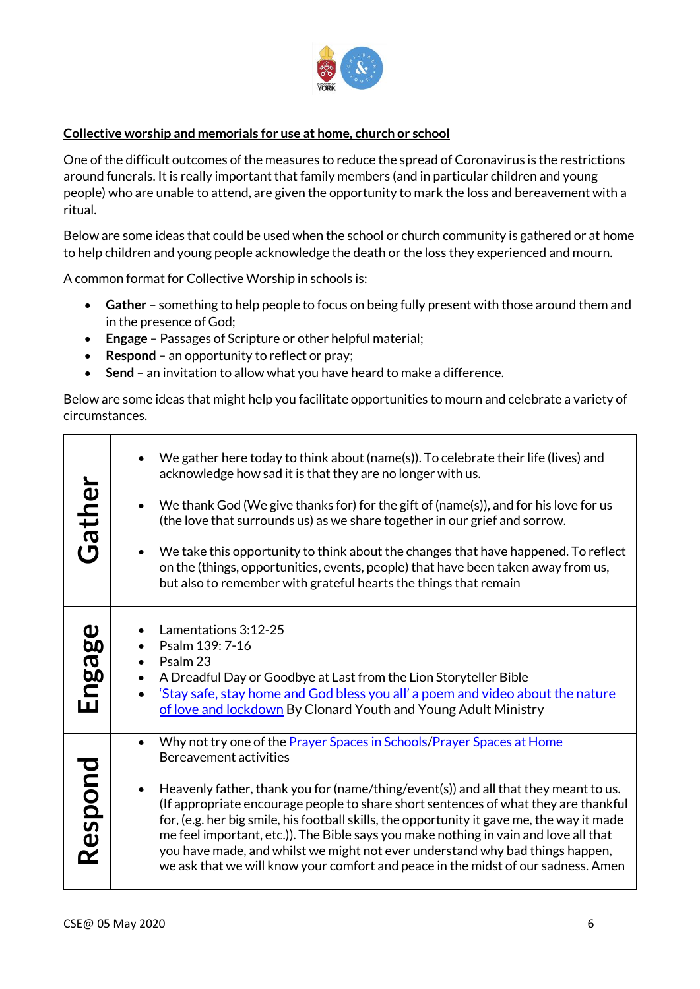

## **Collective worship and memorials for use at home, church or school**

One of the difficult outcomes of the measures to reduce the spread of Coronavirus is the restrictions around funerals. It is really important that family members (and in particular children and young people) who are unable to attend, are given the opportunity to mark the loss and bereavement with a ritual.

Below are some ideas that could be used when the school or church community is gathered or at home to help children and young people acknowledge the death or the loss they experienced and mourn.

A common format for Collective Worship in schools is:

- **Gather** something to help people to focus on being fully present with those around them and in the presence of God;
- **Engage** Passages of Scripture or other helpful material;
- **Respond** an opportunity to reflect or pray;
- **Send**  an invitation to allow what you have heard to make a difference.

Below are some ideas that might help you facilitate opportunities to mourn and celebrate a variety of circumstances.

| Gather                         | We gather here today to think about (name(s)). To celebrate their life (lives) and<br>acknowledge how sad it is that they are no longer with us.<br>We thank God (We give thanks for) for the gift of (name(s)), and for his love for us<br>(the love that surrounds us) as we share together in our grief and sorrow.<br>We take this opportunity to think about the changes that have happened. To reflect<br>on the (things, opportunities, events, people) that have been taken away from us,<br>but also to remember with grateful hearts the things that remain                                                                                         |
|--------------------------------|---------------------------------------------------------------------------------------------------------------------------------------------------------------------------------------------------------------------------------------------------------------------------------------------------------------------------------------------------------------------------------------------------------------------------------------------------------------------------------------------------------------------------------------------------------------------------------------------------------------------------------------------------------------|
| $\boldsymbol{\omega}$<br>Engag | Lamentations 3:12-25<br>Psalm 139: 7-16<br>$\bullet$<br>Psalm 23<br>$\bullet$<br>A Dreadful Day or Goodbye at Last from the Lion Storyteller Bible<br>'Stay safe, stay home and God bless you all' a poem and video about the nature<br>$\bullet$<br>of love and lockdown By Clonard Youth and Young Adult Ministry                                                                                                                                                                                                                                                                                                                                           |
| Respond                        | Why not try one of the <b>Prayer Spaces in Schools/Prayer Spaces at Home</b><br>$\bullet$<br>Bereavement activities<br>Heavenly father, thank you for (name/thing/event(s)) and all that they meant to us.<br>(If appropriate encourage people to share short sentences of what they are thankful<br>for, (e.g. her big smile, his football skills, the opportunity it gave me, the way it made<br>me feel important, etc.)). The Bible says you make nothing in vain and love all that<br>you have made, and whilst we might not ever understand why bad things happen,<br>we ask that we will know your comfort and peace in the midst of our sadness. Amen |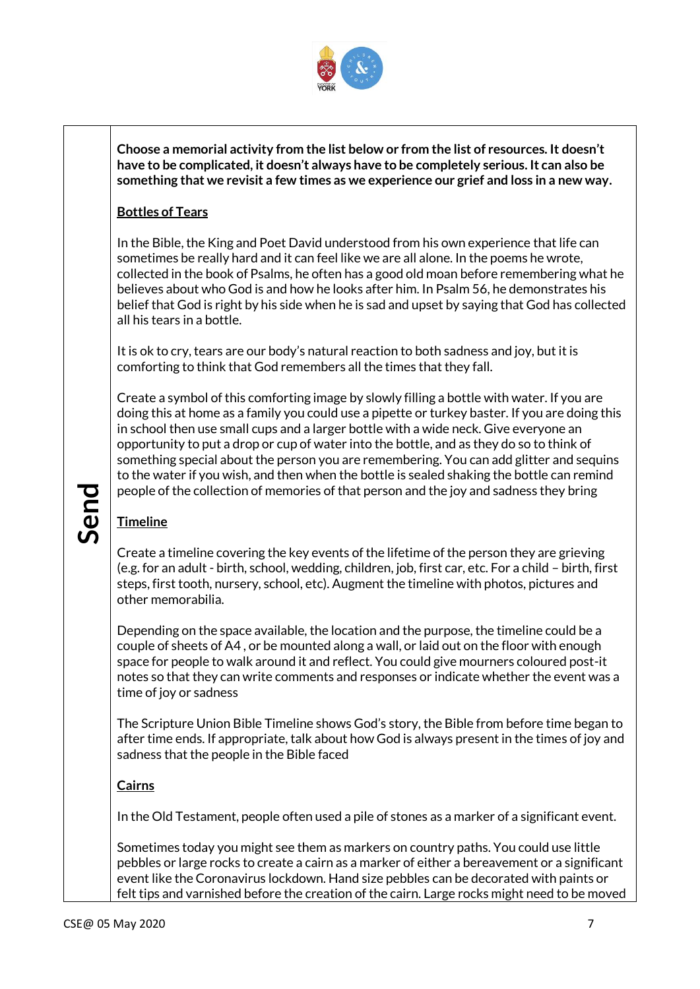

**Choose a memorial activity from the list below or from the list of resources. It doesn't have to be complicated, it doesn't always have to be completely serious. It can also be something that we revisit a few times as we experience our grief and loss in a new way.**

# **Bottles of Tears**

In the Bible, the King and Poet David understood from his own experience that life can sometimes be really hard and it can feel like we are all alone. In the poems he wrote, collected in the book of Psalms, he often has a good old moan before remembering what he believes about who God is and how he looks after him. In Psalm 56, he demonstrates his belief that God is right by his side when he is sad and upset by saying that God has collected all his tears in a bottle.

It is ok to cry, tears are our body's natural reaction to both sadness and joy, but it is comforting to think that God remembers all the times that they fall.

Create a symbol of this comforting image by slowly filling a bottle with water. If you are doing this at home as a family you could use a pipette or turkey baster. If you are doing this in school then use small cups and a larger bottle with a wide neck. Give everyone an opportunity to put a drop or cup of water into the bottle, and as they do so to think of something special about the person you are remembering. You can add glitter and sequins to the water if you wish, and then when the bottle is sealed shaking the bottle can remind people of the collection of memories of that person and the joy and sadness they bring

# **Timeline**

Create a timeline covering the key events of the lifetime of the person they are grieving (e.g. for an adult - birth, school, wedding, children, job, first car, etc. For a child – birth, first steps, first tooth, nursery, school, etc). Augment the timeline with photos, pictures and other memorabilia.

From the collection of memories of that person and the joy and sadness they bring<br>
Timeline<br>
Create a timeline covering the key events of the lifetime of the person they are grieving<br>
(e.g. for an adult - birth, school, we Depending on the space available, the location and the purpose, the timeline could be a couple of sheets of A4 , or be mounted along a wall, or laid out on the floor with enough space for people to walk around it and reflect. You could give mourners coloured post-it notes so that they can write comments and responses or indicate whether the event was a time of joy or sadness

The Scripture Union Bible Timeline shows God's story, the Bible from before time began to after time ends. If appropriate, talk about how God is always present in the times of joy and sadness that the people in the Bible faced

# **Cairns**

In the Old Testament, people often used a pile of stones as a marker of a significant event.

Sometimes today you might see them as markers on country paths. You could use little pebbles or large rocks to create a cairn as a marker of either a bereavement or a significant event like the Coronavirus lockdown. Hand size pebbles can be decorated with paints or felt tips and varnished before the creation of the cairn. Large rocks might need to be moved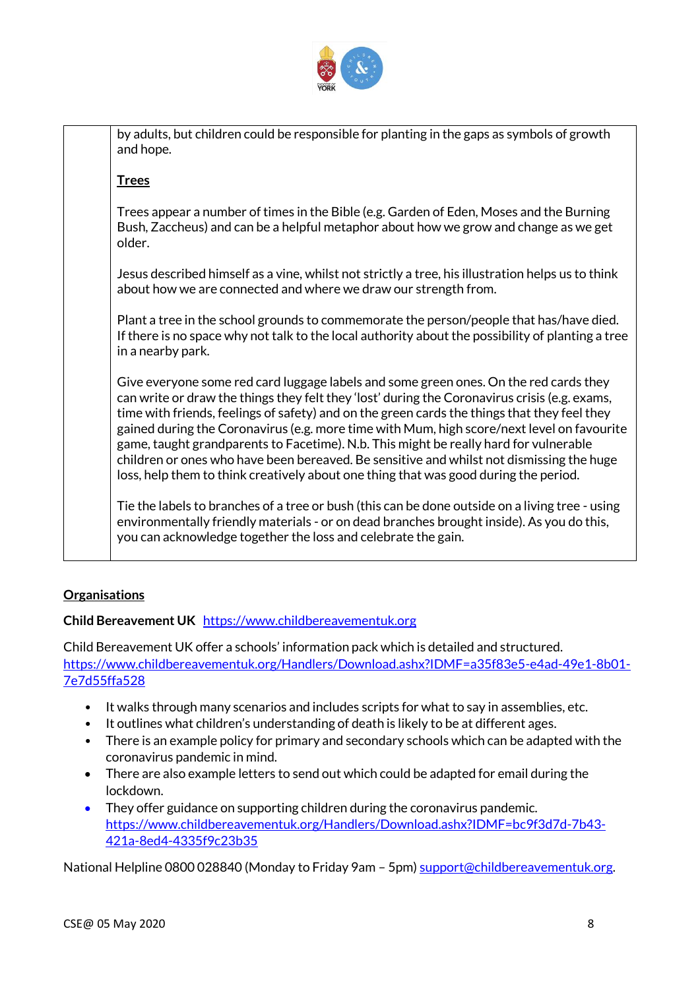

by adults, but children could be responsible for planting in the gaps as symbols of growth and hope.

## **Trees**

Trees appear a number of times in the Bible (e.g. Garden of Eden, Moses and the Burning Bush, Zaccheus) and can be a helpful metaphor about how we grow and change as we get older.

Jesus described himself as a vine, whilst not strictly a tree, his illustration helps us to think about how we are connected and where we draw our strength from.

Plant a tree in the school grounds to commemorate the person/people that has/have died. If there is no space why not talk to the local authority about the possibility of planting a tree in a nearby park.

Give everyone some red card luggage labels and some green ones. On the red cards they can write or draw the things they felt they 'lost' during the Coronavirus crisis (e.g. exams, time with friends, feelings of safety) and on the green cards the things that they feel they gained during the Coronavirus (e.g. more time with Mum, high score/next level on favourite game, taught grandparents to Facetime). N.b. This might be really hard for vulnerable children or ones who have been bereaved. Be sensitive and whilst not dismissing the huge loss, help them to think creatively about one thing that was good during the period.

Tie the labels to branches of a tree or bush (this can be done outside on a living tree - using environmentally friendly materials - or on dead branches brought inside). As you do this, you can acknowledge together the loss and celebrate the gain.

# **Organisations**

# **Child Bereavement UK** [https://www.childbereavementuk.org](https://www.childbereavementuk.org/)

Child Bereavement UK offer a schools' information pack which is detailed and structured. [https://www.childbereavementuk.org/Handlers/Download.ashx?IDMF=a35f83e5-e4ad-49e1-8b01-](https://www.childbereavementuk.org/Handlers/Download.ashx?IDMF=a35f83e5-e4ad-49e1-8b01-7e7d55ffa528) [7e7d55ffa528](https://www.childbereavementuk.org/Handlers/Download.ashx?IDMF=a35f83e5-e4ad-49e1-8b01-7e7d55ffa528)

- It walks through many scenarios and includes scripts for what to say in assemblies, etc.
- It outlines what children's understanding of death is likely to be at different ages.
- There is an example policy for primary and secondary schools which can be adapted with the coronavirus pandemic in mind.
- There are also example letters to send out which could be adapted for email during the lockdown.
- They offer guidance on supporting children during the coronavirus pandemic. [https://www.childbereavementuk.org/Handlers/Download.ashx?IDMF=bc9f3d7d-7b43-](https://www.childbereavementuk.org/Handlers/Download.ashx?IDMF=bc9f3d7d-7b43-421a-8ed4-4335f9c23b35) [421a-8ed4-4335f9c23b35](https://www.childbereavementuk.org/Handlers/Download.ashx?IDMF=bc9f3d7d-7b43-421a-8ed4-4335f9c23b35)

National Helpline 0800 028840 (Monday to Friday 9am – 5pm) [support@childbereavementuk.org.](mailto:support@childbereavementuk.org)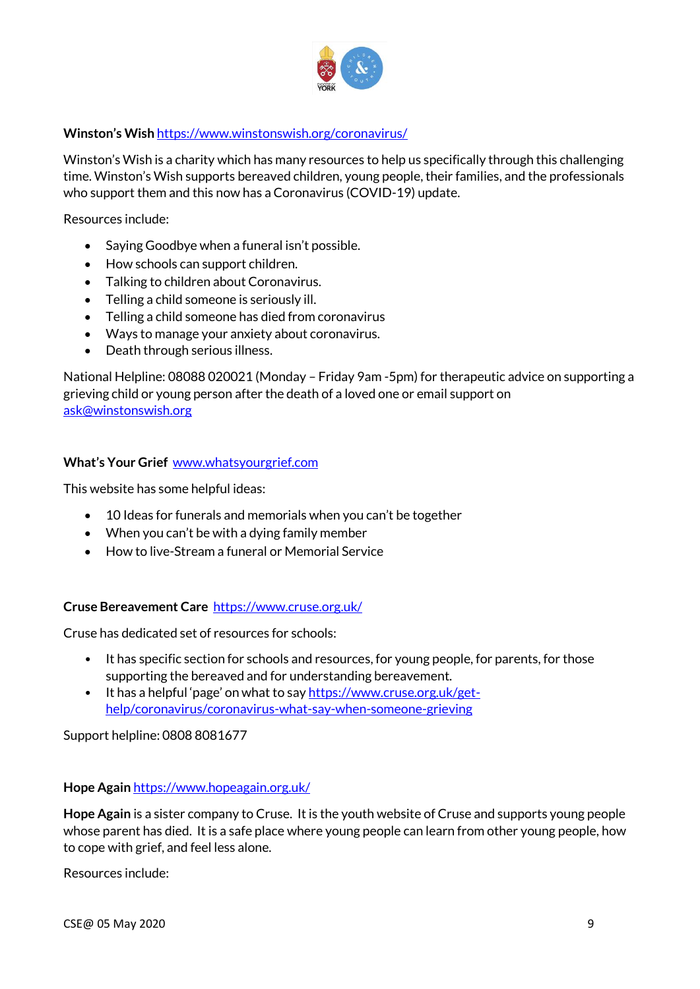

## **Winston's Wish** <https://www.winstonswish.org/coronavirus/>

Winston's Wish is a charity which has many resources to help us specifically through this challenging time. Winston's Wish supports bereaved children, young people, their families, and the professionals who support them and this now has a Coronavirus (COVID-19) update.

Resources include:

- Saying Goodbye when a funeral isn't possible.
- How schools can support children.
- Talking to children about Coronavirus.
- Telling a child someone is seriously ill.
- Telling a child someone has died from coronavirus
- Ways to manage your anxiety about coronavirus.
- Death through serious illness.

National Helpline: 08088 020021 (Monday – Friday 9am -5pm) for therapeutic advice on supporting a grieving child or young person after the death of a loved one or email support on [ask@winstonswish.org](mailto:ask@winstonswish.org)

#### **What's Your Grief** [www.whatsyourgrief.com](http://www.whatsyourgrief.com/)

This website has some helpful ideas:

- 10 Ideas for funerals and memorials when you can't be together
- When you can't be with a dying family member
- How to live-Stream a funeral or Memorial Service

#### **Cruse Bereavement Care** <https://www.cruse.org.uk/>

Cruse has dedicated set of resources for schools:

- It has specific section for schools and resources, for young people, for parents, for those supporting the bereaved and for understanding bereavement.
- It has a helpful 'page' on what to say [https://www.cruse.org.uk/get](https://www.cruse.org.uk/get-help/coronavirus/coronavirus-what-say-when-someone-grieving)[help/coronavirus/coronavirus-what-say-when-someone-grieving](https://www.cruse.org.uk/get-help/coronavirus/coronavirus-what-say-when-someone-grieving)

Support helpline: 0808 8081677

#### **Hope Again** <https://www.hopeagain.org.uk/>

**Hope Again** is a sister company to Cruse. It is the youth website of Cruse and supports young people whose parent has died. It is a safe place where young people can learn from other young people, how to cope with grief, and feel less alone.

Resources include: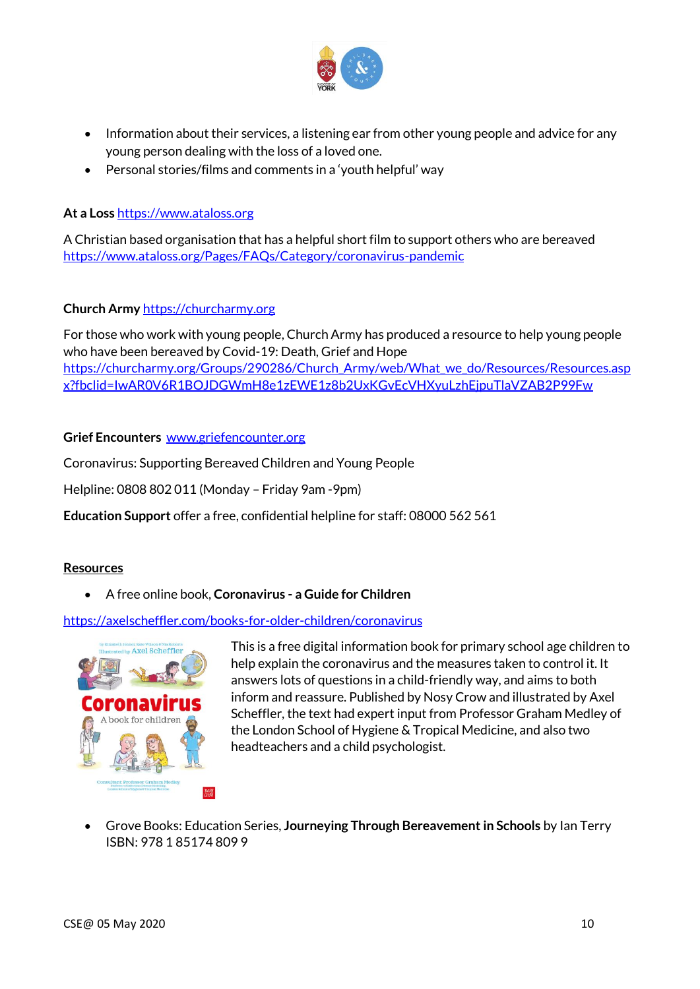

- Information about their services, a listening ear from other young people and advice for any young person dealing with the loss of a loved one.
- Personal stories/films and comments in a 'youth helpful' way

## **At a Loss** [https://www.ataloss.org](https://www.ataloss.org/Pages/FAQs/Category/coronavirus-pandemic)

A Christian based organisation that has a helpful short film to support others who are bereaved <https://www.ataloss.org/Pages/FAQs/Category/coronavirus-pandemic>

## **Church Army** [https://churcharmy.org](https://churcharmy.org/)

For those who work with young people, Church Army has produced a resource to help young people who have been bereaved by Covid-19: Death, Grief and Hope [https://churcharmy.org/Groups/290286/Church\\_Army/web/What\\_we\\_do/Resources/Resources.asp](https://churcharmy.org/Groups/290286/Church_Army/web/What_we_do/Resources/Resources.aspx?fbclid=IwAR0V6R1BOJDGWmH8e1zEWE1z8b2UxKGvEcVHXyuLzhEjpuTlaVZAB2P99Fw) [x?fbclid=IwAR0V6R1BOJDGWmH8e1zEWE1z8b2UxKGvEcVHXyuLzhEjpuTlaVZAB2P99Fw](https://churcharmy.org/Groups/290286/Church_Army/web/What_we_do/Resources/Resources.aspx?fbclid=IwAR0V6R1BOJDGWmH8e1zEWE1z8b2UxKGvEcVHXyuLzhEjpuTlaVZAB2P99Fw)

## **Grief Encounters** [www.griefencounter.org](http://www.griefencounter.org/)

Coronavirus: Supporting Bereaved Children and Young People

Helpline: 0808 802 011 (Monday – Friday 9am -9pm)

**Education Support** offer a free, confidential helpline for staff: 08000 562 561

#### **Resources**

A free online book, **Coronavirus - a Guide for Children**

<https://axelscheffler.com/books-for-older-children/coronavirus>



This is a free digital information book for primary school age children to help explain the coronavirus and the measures taken to control it. It answers lots of questions in a child-friendly way, and aims to both inform and reassure. Published by Nosy Crow and illustrated by Axel Scheffler, the text had expert input from Professor Graham Medley of the London School of Hygiene & Tropical Medicine, and also two headteachers and a child psychologist.

 Grove Books: Education Series, **Journeying Through Bereavement in Schools** by Ian Terry ISBN: 978 1 85174 809 9